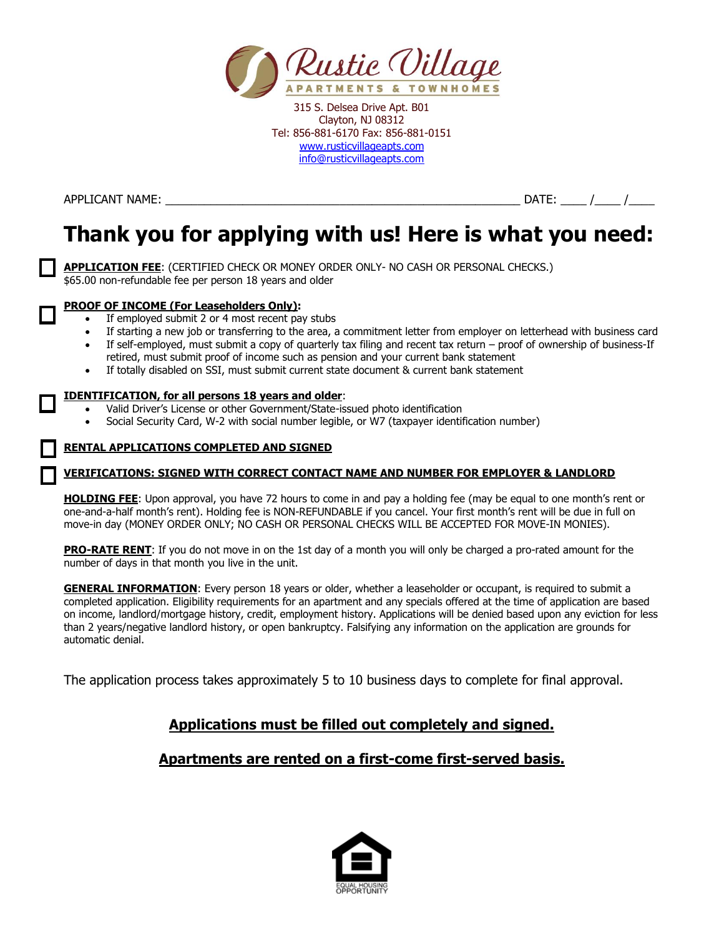

APPLICANT NAME: \_\_\_\_\_\_\_\_\_\_\_\_\_\_\_\_\_\_\_\_\_\_\_\_\_\_\_\_\_\_\_\_\_\_\_\_\_\_\_\_\_\_\_\_\_\_\_\_\_\_\_\_\_\_\_ DATE: \_\_\_\_ /\_\_\_\_ /\_\_\_\_

# **Thank you for applying with us! Here is what you need:**

**APPLICATION FEE**: (CERTIFIED CHECK OR MONEY ORDER ONLY- NO CASH OR PERSONAL CHECKS.) \$65.00 non-refundable fee per person 18 years and older

#### **PROOF OF INCOME (For Leaseholders Only):**

- If employed submit 2 or 4 most recent pay stubs
- If starting a new job or transferring to the area, a commitment letter from employer on letterhead with business card
- If self-employed, must submit a copy of quarterly tax filing and recent tax return proof of ownership of business-If retired, must submit proof of income such as pension and your current bank statement
- If totally disabled on SSI, must submit current state document & current bank statement

#### **IDENTIFICATION, for all persons 18 years and older**:

- Valid Driver's License or other Government/State-issued photo identification
- Social Security Card, W-2 with social number legible, or W7 (taxpayer identification number)

#### **RENTAL APPLICATIONS COMPLETED AND SIGNED**

#### **VERIFICATIONS: SIGNED WITH CORRECT CONTACT NAME AND NUMBER FOR EMPLOYER & LANDLORD**

**HOLDING FEE**: Upon approval, you have 72 hours to come in and pay a holding fee (may be equal to one month's rent or one-and-a-half month's rent). Holding fee is NON-REFUNDABLE if you cancel. Your first month's rent will be due in full on move-in day (MONEY ORDER ONLY; NO CASH OR PERSONAL CHECKS WILL BE ACCEPTED FOR MOVE-IN MONIES).

**PRO-RATE RENT**: If you do not move in on the 1st day of a month you will only be charged a pro-rated amount for the number of days in that month you live in the unit.

**GENERAL INFORMATION**: Every person 18 years or older, whether a leaseholder or occupant, is required to submit a completed application. Eligibility requirements for an apartment and any specials offered at the time of application are based on income, landlord/mortgage history, credit, employment history. Applications will be denied based upon any eviction for less than 2 years/negative landlord history, or open bankruptcy. Falsifying any information on the application are grounds for automatic denial.

The application process takes approximately 5 to 10 business days to complete for final approval.

## **Applications must be filled out completely and signed.**

## **Apartments are rented on a first-come first-served basis.**

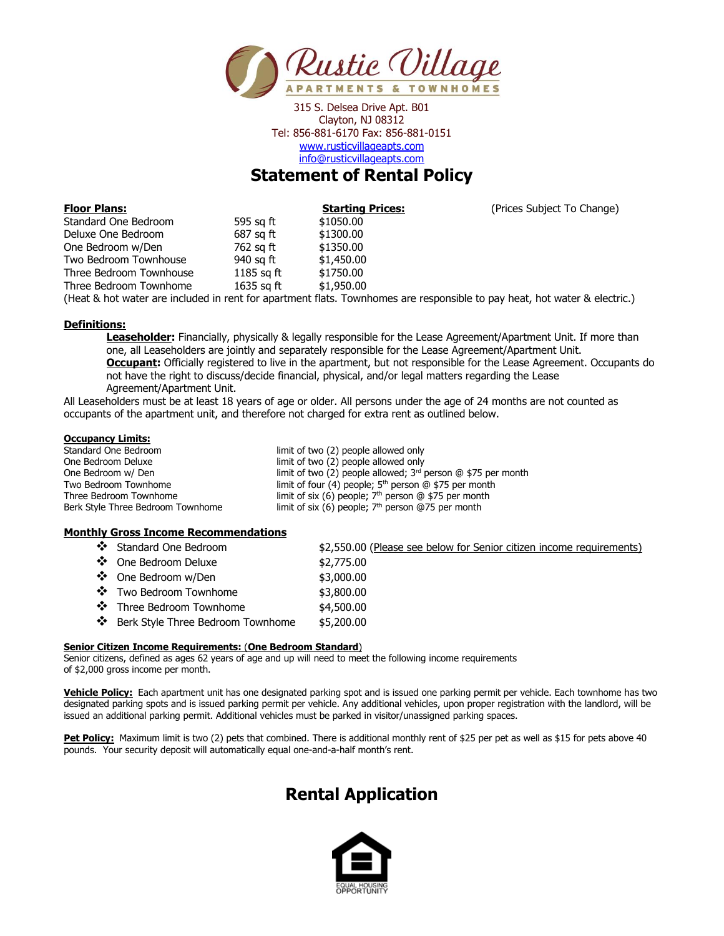

## **Statement of Rental Policy**

| <b>Floor Plans:</b>     |              | <b>Starting Pri</b> |
|-------------------------|--------------|---------------------|
| Standard One Bedroom    | 595 sq ft    | \$1050.00           |
| Deluxe One Bedroom      | 687 sq ft    | \$1300.00           |
| One Bedroom w/Den       | 762 sq ft    | \$1350.00           |
| Two Bedroom Townhouse   | 940 sq ft    | \$1,450.00          |
| Three Bedroom Townhouse | 1185 sq $ft$ | \$1750.00           |
| Three Bedroom Townhome  | 1635 sq ft   | \$1,950.00          |
|                         |              | .                   |

**Frices: Starting Prices Subject To Change)** 

(Heat & hot water are included in rent for apartment flats. Townhomes are responsible to pay heat, hot water & electric.)

#### **Definitions:**

**Leaseholder:** Financially, physically & legally responsible for the Lease Agreement/Apartment Unit. If more than one, all Leaseholders are jointly and separately responsible for the Lease Agreement/Apartment Unit. **Occupant:** Officially registered to live in the apartment, but not responsible for the Lease Agreement. Occupants do not have the right to discuss/decide financial, physical, and/or legal matters regarding the Lease Agreement/Apartment Unit.

All Leaseholders must be at least 18 years of age or older. All persons under the age of 24 months are not counted as occupants of the apartment unit, and therefore not charged for extra rent as outlined below.

#### **Occupancy Limits:**

| Standard One Bedroom              | limit of two (2) people allowed only                             |
|-----------------------------------|------------------------------------------------------------------|
| One Bedroom Deluxe                | limit of two (2) people allowed only                             |
| One Bedroom w/ Den                | limit of two (2) people allowed; $3rd$ person $@$ \$75 per month |
| Two Bedroom Townhome              | limit of four (4) people; $5th$ person $@$ \$75 per month        |
| Three Bedroom Townhome            | limit of six (6) people; $7th$ person @ \$75 per month           |
| Berk Style Three Bedroom Townhome | limit of six (6) people; $7th$ person @75 per month              |

#### **Monthly Gross Income Recommendations**

| ❖ Standard One Bedroom              | \$2,550.00 (Please see below for Senior citizen income requirements) |
|-------------------------------------|----------------------------------------------------------------------|
| ❖ One Bedroom Deluxe                | \$2,775.00                                                           |
| ❖ One Bedroom w/Den                 | \$3,000.00                                                           |
| ❖ Two Bedroom Townhome              | \$3,800.00                                                           |
| ❖ Three Bedroom Townhome            | \$4,500.00                                                           |
| ❖ Berk Style Three Bedroom Townhome | \$5,200.00                                                           |
|                                     |                                                                      |

#### **Senior Citizen Income Requirements:** (**One Bedroom Standard**)

Senior citizens, defined as ages 62 years of age and up will need to meet the following income requirements of \$2,000 gross income per month.

**Vehicle Policy:** Each apartment unit has one designated parking spot and is issued one parking permit per vehicle. Each townhome has two designated parking spots and is issued parking permit per vehicle. Any additional vehicles, upon proper registration with the landlord, will be issued an additional parking permit. Additional vehicles must be parked in visitor/unassigned parking spaces.

Pet Policy: Maximum limit is two (2) pets that combined. There is additional monthly rent of \$25 per pet as well as \$15 for pets above 40 pounds. Your security deposit will automatically equal one-and-a-half month's rent.

## **Rental Application**

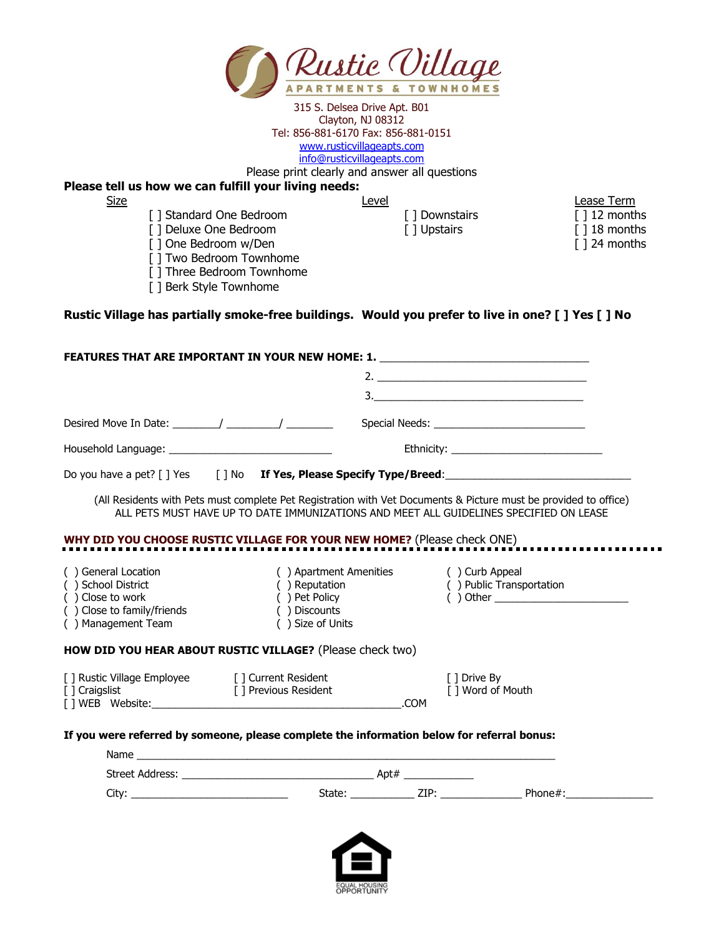

Level **Lease Term** 

. . .

Please print clearly and answer all questions

### **Please tell us how we can fulfill your living needs:**

- [ ] Standard One Bedroom [ ] Downstairs [ ] 12 months
- [ ] Deluxe One Bedroom [ ] Upstairs [ ] 18 months
- [ ] One Bedroom w/Den [ ] 24 months
- [ ] Two Bedroom Townhome
- [ ] Three Bedroom Townhome
- [ ] Berk Style Townhome

**Rustic Village has partially smoke-free buildings. Would you prefer to live in one? [ ] Yes [ ] No**

|                                                                                                                   |                                                                    | FEATURES THAT ARE IMPORTANT IN YOUR NEW HOME: 1. _______________________________                                                                                                                           |  |
|-------------------------------------------------------------------------------------------------------------------|--------------------------------------------------------------------|------------------------------------------------------------------------------------------------------------------------------------------------------------------------------------------------------------|--|
|                                                                                                                   |                                                                    |                                                                                                                                                                                                            |  |
|                                                                                                                   |                                                                    | 3.                                                                                                                                                                                                         |  |
|                                                                                                                   |                                                                    |                                                                                                                                                                                                            |  |
|                                                                                                                   |                                                                    |                                                                                                                                                                                                            |  |
|                                                                                                                   |                                                                    | Do you have a pet? [] Yes [] No If Yes, Please Specify Type/Breed: _________________________________                                                                                                       |  |
|                                                                                                                   |                                                                    | (All Residents with Pets must complete Pet Registration with Vet Documents & Picture must be provided to office)<br>ALL PETS MUST HAVE UP TO DATE IMMUNIZATIONS AND MEET ALL GUIDELINES SPECIFIED ON LEASE |  |
|                                                                                                                   |                                                                    | WHY DID YOU CHOOSE RUSTIC VILLAGE FOR YOUR NEW HOME? (Please check ONE)                                                                                                                                    |  |
| () General Location<br>() School District<br>() Close to work<br>() Close to family/friends<br>() Management Team | () Reputation<br>() Pet Policy<br>() Discounts<br>() Size of Units | () Apartment Amenities () Curb Appeal<br>() Public Transportation<br>$( )$ Other $( )$                                                                                                                     |  |
| HOW DID YOU HEAR ABOUT RUSTIC VILLAGE? (Please check two)                                                         |                                                                    |                                                                                                                                                                                                            |  |
| [] Rustic Village Employee [] Current Resident<br>[ ] Craigslist                                                  | [ ] Previous Resident                                              | [ ] Drive By<br>[ ] Word of Mouth<br>.COM                                                                                                                                                                  |  |
| Name                                                                                                              |                                                                    | If you were referred by someone, please complete the information below for referral bonus:                                                                                                                 |  |

| .                      |        |      |        |
|------------------------|--------|------|--------|
| <b>Street Address:</b> |        | Apt# |        |
| <b>City</b>            | State: | 7TD. | Dhone. |

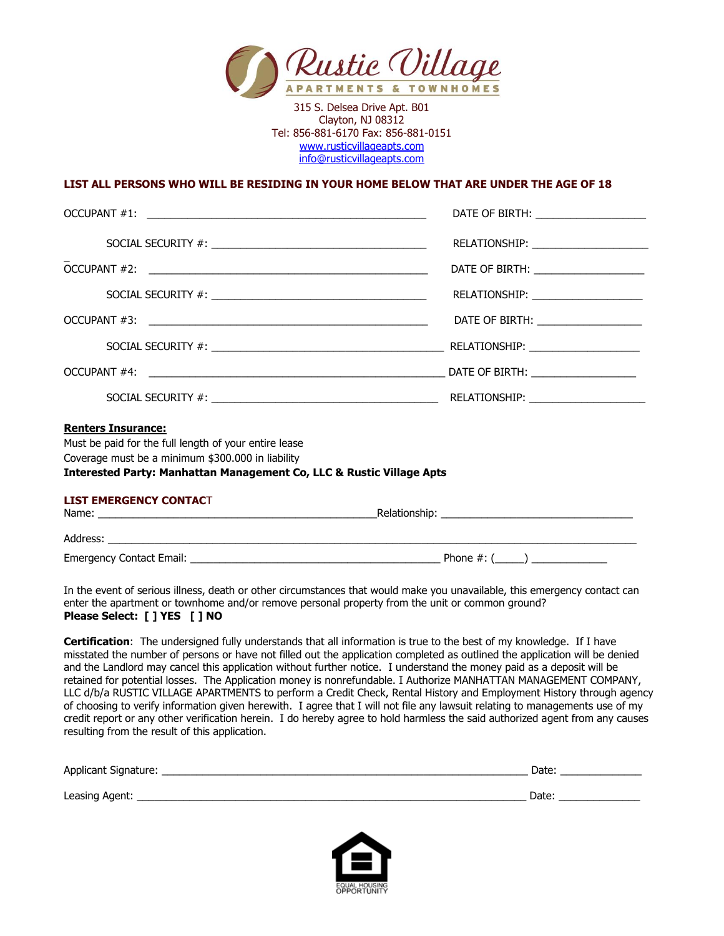

#### **LIST ALL PERSONS WHO WILL BE RESIDING IN YOUR HOME BELOW THAT ARE UNDER THE AGE OF 18**

|                                                                                                                                                                                                                            | DATE OF BIRTH: ______________________ |
|----------------------------------------------------------------------------------------------------------------------------------------------------------------------------------------------------------------------------|---------------------------------------|
|                                                                                                                                                                                                                            |                                       |
|                                                                                                                                                                                                                            | DATE OF BIRTH: _____________________  |
|                                                                                                                                                                                                                            | RELATIONSHIP: _______________________ |
|                                                                                                                                                                                                                            | DATE OF BIRTH: ____________________   |
|                                                                                                                                                                                                                            |                                       |
|                                                                                                                                                                                                                            |                                       |
|                                                                                                                                                                                                                            |                                       |
| <b>Renters Insurance:</b><br>Must be paid for the full length of your entire lease<br>Coverage must be a minimum \$300,000 in liability<br><b>Interested Party: Manhattan Management Co, LLC &amp; Rustic Village Apts</b> |                                       |
| <b>LIST EMERGENCY CONTACT</b>                                                                                                                                                                                              |                                       |
|                                                                                                                                                                                                                            |                                       |
|                                                                                                                                                                                                                            |                                       |

In the event of serious illness, death or other circumstances that would make you unavailable, this emergency contact can enter the apartment or townhome and/or remove personal property from the unit or common ground? **Please Select: [ ] YES [ ] NO**

**Certification**: The undersigned fully understands that all information is true to the best of my knowledge. If I have misstated the number of persons or have not filled out the application completed as outlined the application will be denied and the Landlord may cancel this application without further notice. I understand the money paid as a deposit will be retained for potential losses. The Application money is nonrefundable. I Authorize MANHATTAN MANAGEMENT COMPANY, LLC d/b/a RUSTIC VILLAGE APARTMENTS to perform a Credit Check, Rental History and Employment History through agency of choosing to verify information given herewith. I agree that I will not file any lawsuit relating to managements use of my credit report or any other verification herein. I do hereby agree to hold harmless the said authorized agent from any causes resulting from the result of this application.

| Applicant Signature: | Date: |  |
|----------------------|-------|--|
|                      |       |  |
| Leasing Agent:       | Date  |  |

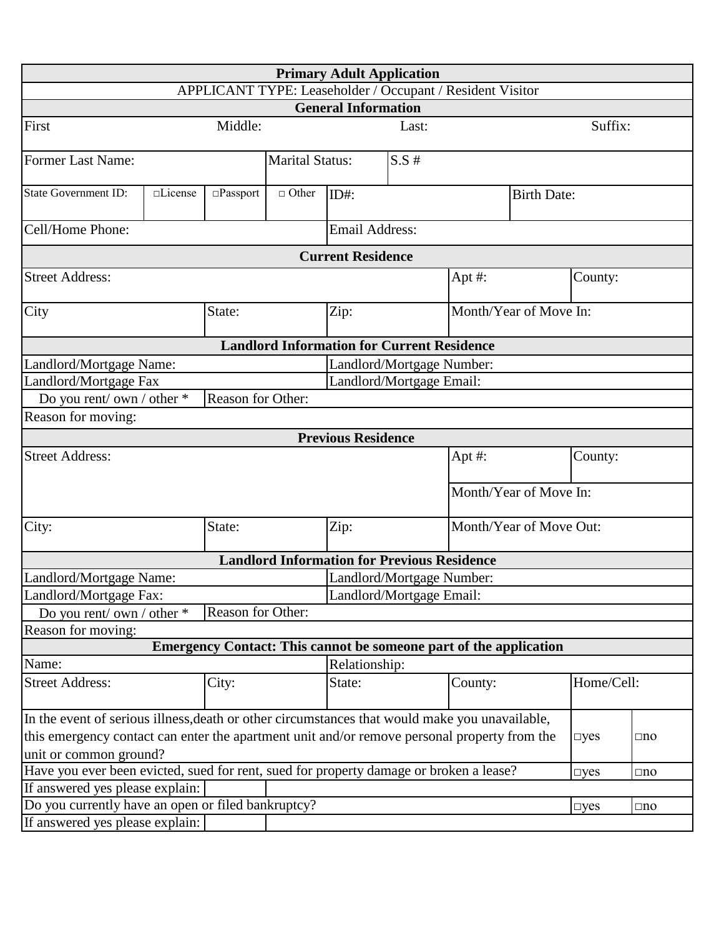| <b>Primary Adult Application</b>                                                                                                                                                                                                                       |          |                    |                        |                                                                          |                           |         |                         |            |              |
|--------------------------------------------------------------------------------------------------------------------------------------------------------------------------------------------------------------------------------------------------------|----------|--------------------|------------------------|--------------------------------------------------------------------------|---------------------------|---------|-------------------------|------------|--------------|
| APPLICANT TYPE: Leaseholder / Occupant / Resident Visitor                                                                                                                                                                                              |          |                    |                        |                                                                          |                           |         |                         |            |              |
|                                                                                                                                                                                                                                                        |          |                    |                        | <b>General Information</b>                                               |                           |         |                         |            |              |
| First                                                                                                                                                                                                                                                  |          | Middle:            |                        |                                                                          | Last:                     |         |                         | Suffix:    |              |
| <b>Former Last Name:</b>                                                                                                                                                                                                                               |          |                    | <b>Marital Status:</b> |                                                                          | $S.S$ #                   |         |                         |            |              |
| <b>State Government ID:</b>                                                                                                                                                                                                                            | □License | $\square$ Passport | $\Box$ Other           | $ID#$ :                                                                  |                           |         | <b>Birth Date:</b>      |            |              |
| Cell/Home Phone:                                                                                                                                                                                                                                       |          |                    |                        | <b>Email Address:</b>                                                    |                           |         |                         |            |              |
|                                                                                                                                                                                                                                                        |          |                    |                        | <b>Current Residence</b>                                                 |                           |         |                         |            |              |
| <b>Street Address:</b>                                                                                                                                                                                                                                 |          |                    |                        |                                                                          |                           | Apt #:  |                         | County:    |              |
| City                                                                                                                                                                                                                                                   |          | State:             |                        | Zip:                                                                     |                           |         | Month/Year of Move In:  |            |              |
|                                                                                                                                                                                                                                                        |          |                    |                        | <b>Landlord Information for Current Residence</b>                        |                           |         |                         |            |              |
| Landlord/Mortgage Name:                                                                                                                                                                                                                                |          |                    |                        |                                                                          | Landlord/Mortgage Number: |         |                         |            |              |
| Landlord/Mortgage Fax                                                                                                                                                                                                                                  |          |                    |                        |                                                                          | Landlord/Mortgage Email:  |         |                         |            |              |
| Do you rent/ own / other *                                                                                                                                                                                                                             |          | Reason for Other:  |                        |                                                                          |                           |         |                         |            |              |
| Reason for moving:                                                                                                                                                                                                                                     |          |                    |                        |                                                                          |                           |         |                         |            |              |
|                                                                                                                                                                                                                                                        |          |                    |                        | <b>Previous Residence</b>                                                |                           |         |                         |            |              |
| <b>Street Address:</b>                                                                                                                                                                                                                                 |          |                    |                        | Apt #:                                                                   |                           | County: |                         |            |              |
|                                                                                                                                                                                                                                                        |          |                    |                        |                                                                          |                           |         | Month/Year of Move In:  |            |              |
| City:                                                                                                                                                                                                                                                  |          | State:             |                        | Zip:                                                                     |                           |         | Month/Year of Move Out: |            |              |
|                                                                                                                                                                                                                                                        |          |                    |                        | <b>Landlord Information for Previous Residence</b>                       |                           |         |                         |            |              |
| Landlord/Mortgage Name:                                                                                                                                                                                                                                |          |                    |                        |                                                                          | Landlord/Mortgage Number: |         |                         |            |              |
| Landlord/Mortgage Fax:                                                                                                                                                                                                                                 |          |                    |                        | Landlord/Mortgage Email:                                                 |                           |         |                         |            |              |
| Do you rent/ own / other *                                                                                                                                                                                                                             |          | Reason for Other:  |                        |                                                                          |                           |         |                         |            |              |
| Reason for moving:                                                                                                                                                                                                                                     |          |                    |                        |                                                                          |                           |         |                         |            |              |
|                                                                                                                                                                                                                                                        |          |                    |                        | <b>Emergency Contact: This cannot be someone part of the application</b> |                           |         |                         |            |              |
| Name:                                                                                                                                                                                                                                                  |          |                    |                        | Relationship:                                                            |                           |         |                         |            |              |
| <b>Street Address:</b>                                                                                                                                                                                                                                 |          | City:              |                        | State:                                                                   |                           | County: |                         | Home/Cell: |              |
| In the event of serious illness, death or other circumstances that would make you unavailable,<br>this emergency contact can enter the apartment unit and/or remove personal property from the<br>$\neg yes$<br>$\square$ no<br>unit or common ground? |          |                    |                        |                                                                          |                           |         |                         |            |              |
| Have you ever been evicted, sued for rent, sued for property damage or broken a lease?                                                                                                                                                                 |          |                    |                        |                                                                          |                           |         |                         | $\neg$ yes | $\square$ no |
| If answered yes please explain:                                                                                                                                                                                                                        |          |                    |                        |                                                                          |                           |         |                         |            |              |
| Do you currently have an open or filed bankruptcy?                                                                                                                                                                                                     |          |                    |                        |                                                                          |                           |         |                         | $\neg yes$ | $\square$ no |
| If answered yes please explain:                                                                                                                                                                                                                        |          |                    |                        |                                                                          |                           |         |                         |            |              |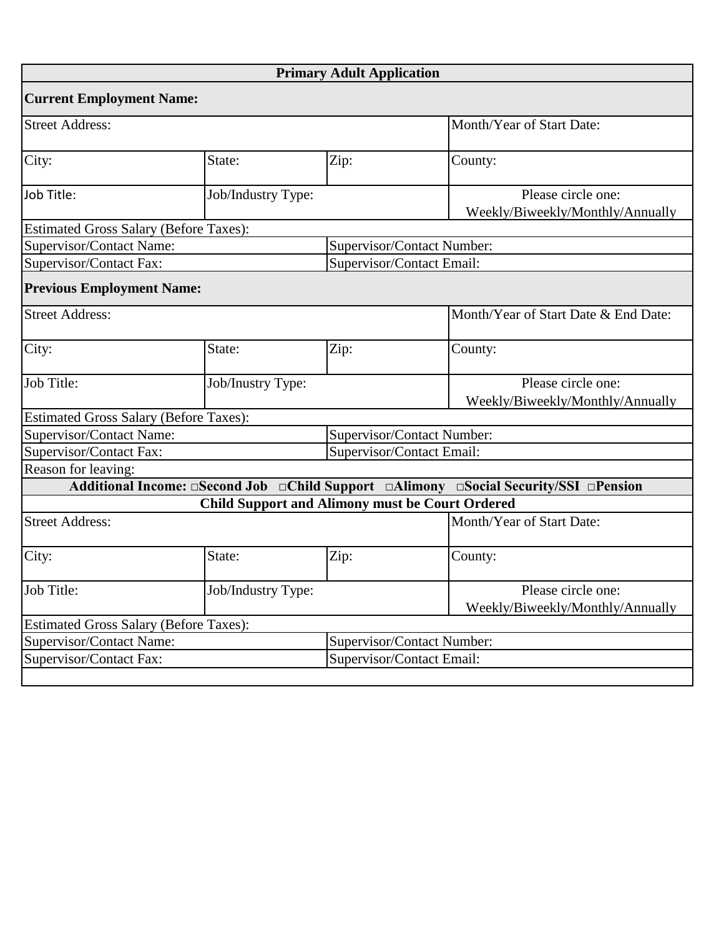|                                                        |                    | <b>Primary Adult Application</b>                       |                                                                                                                    |
|--------------------------------------------------------|--------------------|--------------------------------------------------------|--------------------------------------------------------------------------------------------------------------------|
| <b>Current Employment Name:</b>                        |                    |                                                        |                                                                                                                    |
| <b>Street Address:</b>                                 |                    |                                                        | Month/Year of Start Date:                                                                                          |
| City:                                                  | State:             | Zip:                                                   | County:                                                                                                            |
| Job Title:                                             | Job/Industry Type: |                                                        | Please circle one:<br>Weekly/Biweekly/Monthly/Annually                                                             |
| <b>Estimated Gross Salary (Before Taxes):</b>          |                    |                                                        |                                                                                                                    |
| Supervisor/Contact Name:                               |                    |                                                        | Supervisor/Contact Number:                                                                                         |
| Supervisor/Contact Fax:                                |                    |                                                        | Supervisor/Contact Email:                                                                                          |
| <b>Previous Employment Name:</b>                       |                    |                                                        |                                                                                                                    |
| <b>Street Address:</b>                                 |                    |                                                        | Month/Year of Start Date & End Date:                                                                               |
| City:                                                  | State:             | Zip:                                                   | County:                                                                                                            |
| Job Title:                                             | Job/Inustry Type:  | Please circle one:<br>Weekly/Biweekly/Monthly/Annually |                                                                                                                    |
| <b>Estimated Gross Salary (Before Taxes):</b>          |                    |                                                        |                                                                                                                    |
| Supervisor/Contact Name:                               |                    |                                                        | Supervisor/Contact Number:                                                                                         |
| Supervisor/Contact Fax:                                |                    |                                                        | Supervisor/Contact Email:                                                                                          |
| Reason for leaving:                                    |                    |                                                        |                                                                                                                    |
|                                                        |                    |                                                        | Additional Income: $\Box$ Second Job $\Box$ Child Support $\Box$ Alimony $\Box$ Social Security/SSI $\Box$ Pension |
|                                                        |                    |                                                        | <b>Child Support and Alimony must be Court Ordered</b>                                                             |
| <b>Street Address:</b>                                 |                    |                                                        | Month/Year of Start Date:                                                                                          |
| City:                                                  | State:             | Zip:                                                   | County:                                                                                                            |
| Job Title:                                             | Job/Industry Type: |                                                        | Please circle one:<br>Weekly/Biweekly/Monthly/Annually                                                             |
| <b>Estimated Gross Salary (Before Taxes):</b>          |                    |                                                        |                                                                                                                    |
| Supervisor/Contact Number:<br>Supervisor/Contact Name: |                    |                                                        |                                                                                                                    |
| Supervisor/Contact Fax:                                |                    |                                                        | Supervisor/Contact Email:                                                                                          |
|                                                        |                    |                                                        |                                                                                                                    |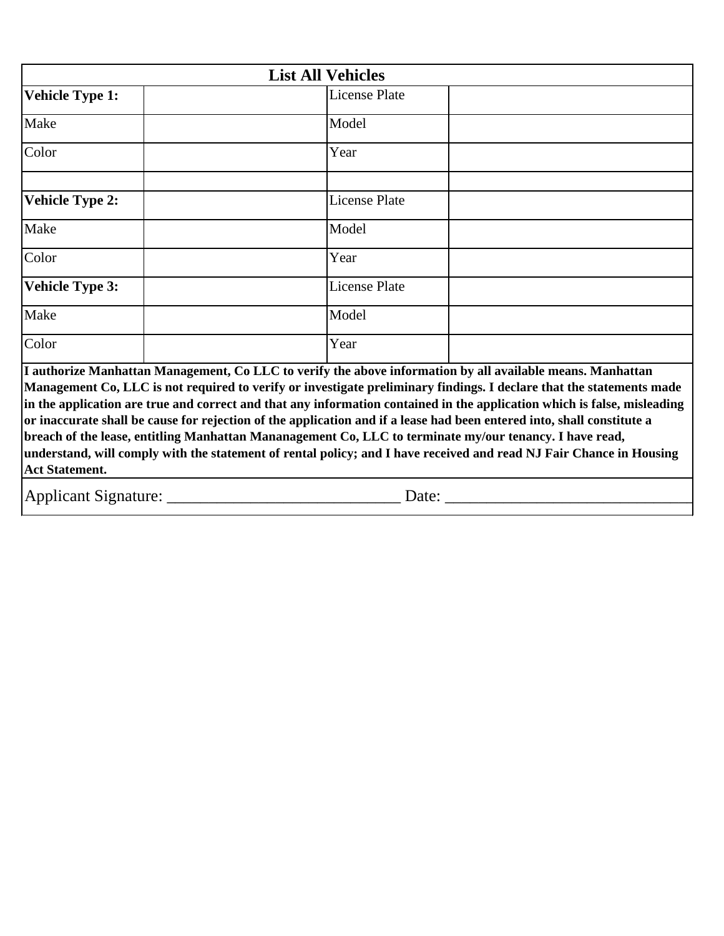| <b>List All Vehicles</b>                                                                                                                                                                                                                                                                                                                                                                                                                                                                                                                                                                                                                                                                                                                            |  |                      |  |  |  |
|-----------------------------------------------------------------------------------------------------------------------------------------------------------------------------------------------------------------------------------------------------------------------------------------------------------------------------------------------------------------------------------------------------------------------------------------------------------------------------------------------------------------------------------------------------------------------------------------------------------------------------------------------------------------------------------------------------------------------------------------------------|--|----------------------|--|--|--|
| <b>Vehicle Type 1:</b>                                                                                                                                                                                                                                                                                                                                                                                                                                                                                                                                                                                                                                                                                                                              |  | <b>License Plate</b> |  |  |  |
| Make                                                                                                                                                                                                                                                                                                                                                                                                                                                                                                                                                                                                                                                                                                                                                |  | Model                |  |  |  |
| Color                                                                                                                                                                                                                                                                                                                                                                                                                                                                                                                                                                                                                                                                                                                                               |  | Year                 |  |  |  |
| <b>Vehicle Type 2:</b>                                                                                                                                                                                                                                                                                                                                                                                                                                                                                                                                                                                                                                                                                                                              |  | <b>License Plate</b> |  |  |  |
| Make                                                                                                                                                                                                                                                                                                                                                                                                                                                                                                                                                                                                                                                                                                                                                |  | Model                |  |  |  |
| Color                                                                                                                                                                                                                                                                                                                                                                                                                                                                                                                                                                                                                                                                                                                                               |  | Year                 |  |  |  |
| <b>Vehicle Type 3:</b>                                                                                                                                                                                                                                                                                                                                                                                                                                                                                                                                                                                                                                                                                                                              |  | <b>License Plate</b> |  |  |  |
| Make                                                                                                                                                                                                                                                                                                                                                                                                                                                                                                                                                                                                                                                                                                                                                |  | Model                |  |  |  |
| Color                                                                                                                                                                                                                                                                                                                                                                                                                                                                                                                                                                                                                                                                                                                                               |  | Year                 |  |  |  |
| I authorize Manhattan Management, Co LLC to verify the above information by all available means. Manhattan<br>Management Co, LLC is not required to verify or investigate preliminary findings. I declare that the statements made<br>in the application are true and correct and that any information contained in the application which is false, misleading<br>or inaccurate shall be cause for rejection of the application and if a lease had been entered into, shall constitute a<br>breach of the lease, entitling Manhattan Mananagement Co, LLC to terminate my/our tenancy. I have read,<br>understand, will comply with the statement of rental policy; and I have received and read NJ Fair Chance in Housing<br><b>Act Statement.</b> |  |                      |  |  |  |
| Applicant Signature: _<br>Date: $\_\_$                                                                                                                                                                                                                                                                                                                                                                                                                                                                                                                                                                                                                                                                                                              |  |                      |  |  |  |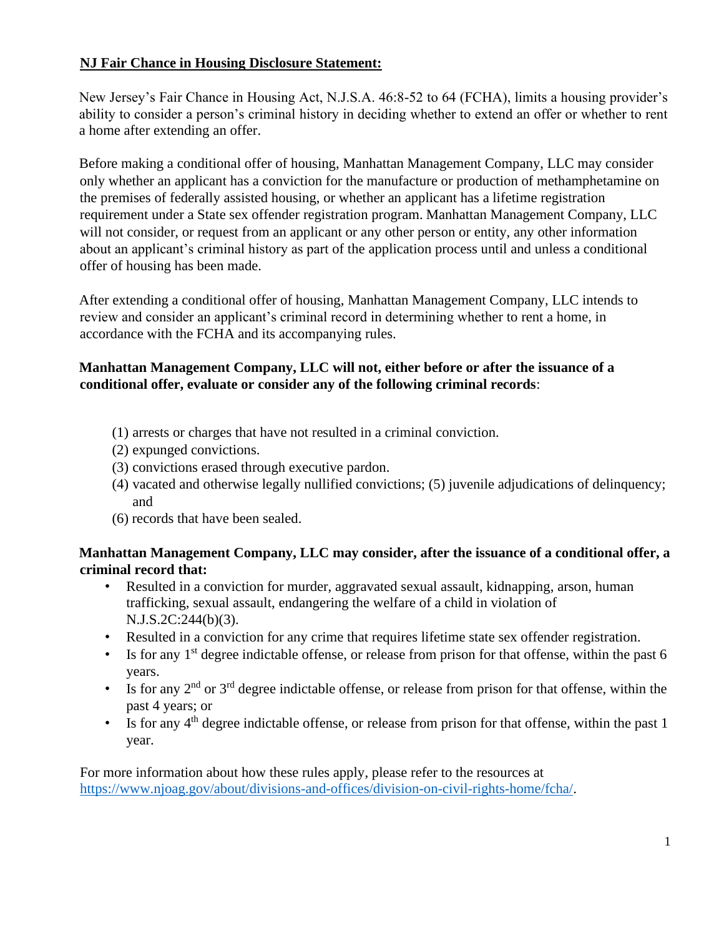## **NJ Fair Chance in Housing Disclosure Statement:**

New Jersey's Fair Chance in Housing Act, N.J.S.A. 46:8-52 to 64 (FCHA), limits a housing provider's ability to consider a person's criminal history in deciding whether to extend an offer or whether to rent a home after extending an offer.

Before making a conditional offer of housing, Manhattan Management Company, LLC may consider only whether an applicant has a conviction for the manufacture or production of methamphetamine on the premises of federally assisted housing, or whether an applicant has a lifetime registration requirement under a State sex offender registration program. Manhattan Management Company, LLC will not consider, or request from an applicant or any other person or entity, any other information about an applicant's criminal history as part of the application process until and unless a conditional offer of housing has been made.

After extending a conditional offer of housing, Manhattan Management Company, LLC intends to review and consider an applicant's criminal record in determining whether to rent a home, in accordance with the FCHA and its accompanying rules.

### **Manhattan Management Company, LLC will not, either before or after the issuance of a conditional offer, evaluate or consider any of the following criminal records**:

- (1) arrests or charges that have not resulted in a criminal conviction.
- (2) expunged convictions.
- (3) convictions erased through executive pardon.
- (4) vacated and otherwise legally nullified convictions; (5) juvenile adjudications of delinquency; and
- (6) records that have been sealed.

## **Manhattan Management Company, LLC may consider, after the issuance of a conditional offer, a criminal record that:**

- Resulted in a conviction for murder, aggravated sexual assault, kidnapping, arson, human trafficking, sexual assault, endangering the welfare of a child in violation of N.J.S.2C:244(b)(3).
- Resulted in a conviction for any crime that requires lifetime state sex offender registration.
- Is for any 1<sup>st</sup> degree indictable offense, or release from prison for that offense, within the past 6 years.
- Is for any  $2<sup>nd</sup>$  or  $3<sup>rd</sup>$  degree indictable offense, or release from prison for that offense, within the past 4 years; or
- Is for any 4<sup>th</sup> degree indictable offense, or release from prison for that offense, within the past 1 year.

For more information about how these rules apply, please refer to the resources at [https://www.njoag.gov/about/divisions-and-offices/division-on-civil-rights-home/fcha/.](https://www.njoag.gov/about/divisions-and-offices/division-on-civil-rights-home/fcha/)